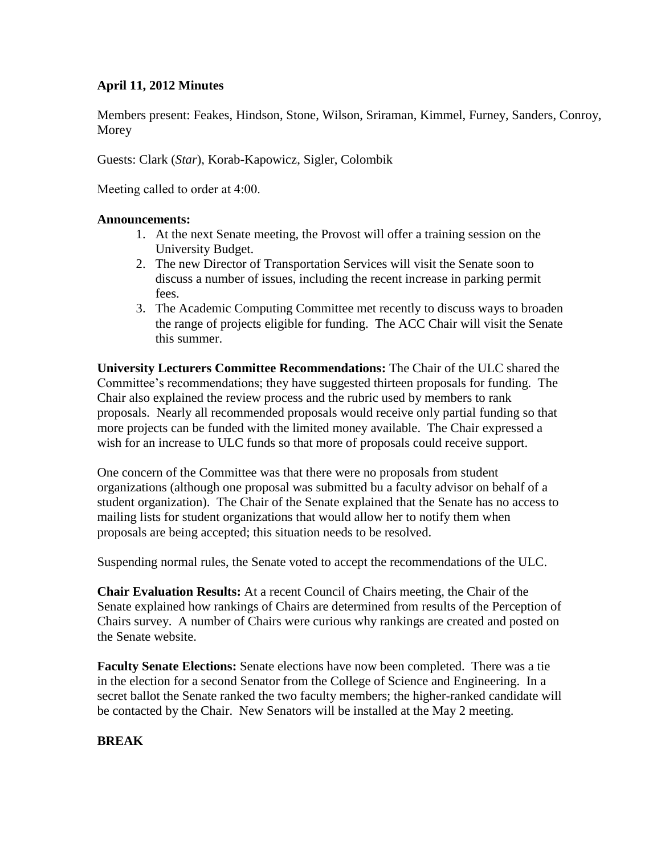## **April 11, 2012 Minutes**

Members present: Feakes, Hindson, Stone, Wilson, Sriraman, Kimmel, Furney, Sanders, Conroy, Morey

Guests: Clark (*Star*), Korab-Kapowicz, Sigler, Colombik

Meeting called to order at 4:00.

## **Announcements:**

- 1. At the next Senate meeting, the Provost will offer a training session on the University Budget.
- 2. The new Director of Transportation Services will visit the Senate soon to discuss a number of issues, including the recent increase in parking permit fees.
- 3. The Academic Computing Committee met recently to discuss ways to broaden the range of projects eligible for funding. The ACC Chair will visit the Senate this summer.

**University Lecturers Committee Recommendations:** The Chair of the ULC shared the Committee's recommendations; they have suggested thirteen proposals for funding. The Chair also explained the review process and the rubric used by members to rank proposals. Nearly all recommended proposals would receive only partial funding so that more projects can be funded with the limited money available. The Chair expressed a wish for an increase to ULC funds so that more of proposals could receive support.

One concern of the Committee was that there were no proposals from student organizations (although one proposal was submitted bu a faculty advisor on behalf of a student organization). The Chair of the Senate explained that the Senate has no access to mailing lists for student organizations that would allow her to notify them when proposals are being accepted; this situation needs to be resolved.

Suspending normal rules, the Senate voted to accept the recommendations of the ULC.

**Chair Evaluation Results:** At a recent Council of Chairs meeting, the Chair of the Senate explained how rankings of Chairs are determined from results of the Perception of Chairs survey. A number of Chairs were curious why rankings are created and posted on the Senate website.

**Faculty Senate Elections:** Senate elections have now been completed. There was a tie in the election for a second Senator from the College of Science and Engineering. In a secret ballot the Senate ranked the two faculty members; the higher-ranked candidate will be contacted by the Chair. New Senators will be installed at the May 2 meeting.

## **BREAK**